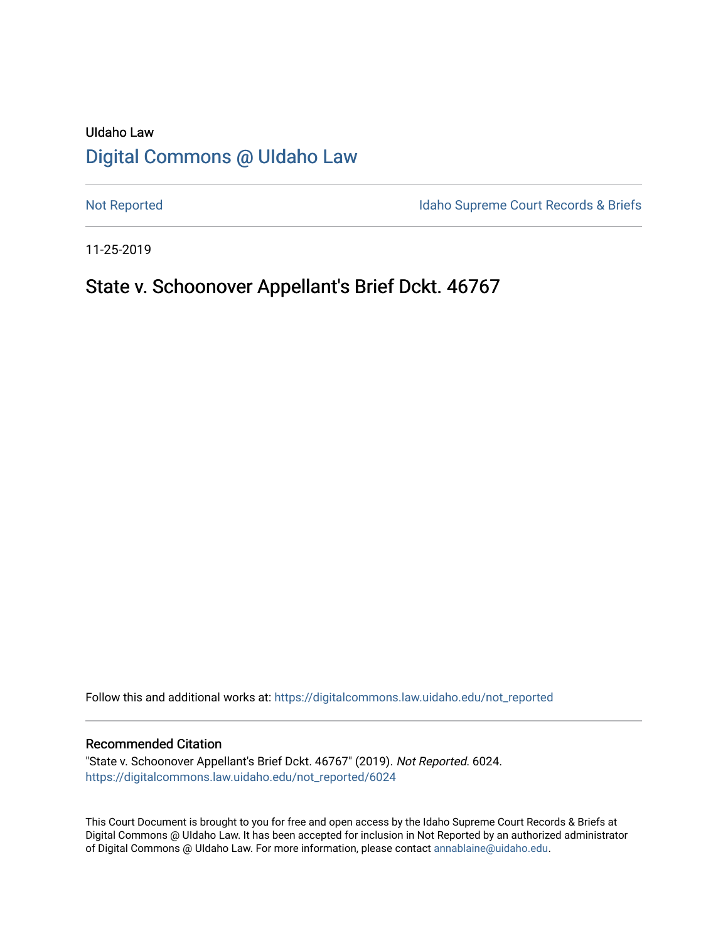# UIdaho Law [Digital Commons @ UIdaho Law](https://digitalcommons.law.uidaho.edu/)

[Not Reported](https://digitalcommons.law.uidaho.edu/not_reported) **Idaho Supreme Court Records & Briefs** 

11-25-2019

# State v. Schoonover Appellant's Brief Dckt. 46767

Follow this and additional works at: [https://digitalcommons.law.uidaho.edu/not\\_reported](https://digitalcommons.law.uidaho.edu/not_reported?utm_source=digitalcommons.law.uidaho.edu%2Fnot_reported%2F6024&utm_medium=PDF&utm_campaign=PDFCoverPages) 

#### Recommended Citation

"State v. Schoonover Appellant's Brief Dckt. 46767" (2019). Not Reported. 6024. [https://digitalcommons.law.uidaho.edu/not\\_reported/6024](https://digitalcommons.law.uidaho.edu/not_reported/6024?utm_source=digitalcommons.law.uidaho.edu%2Fnot_reported%2F6024&utm_medium=PDF&utm_campaign=PDFCoverPages)

This Court Document is brought to you for free and open access by the Idaho Supreme Court Records & Briefs at Digital Commons @ UIdaho Law. It has been accepted for inclusion in Not Reported by an authorized administrator of Digital Commons @ UIdaho Law. For more information, please contact [annablaine@uidaho.edu](mailto:annablaine@uidaho.edu).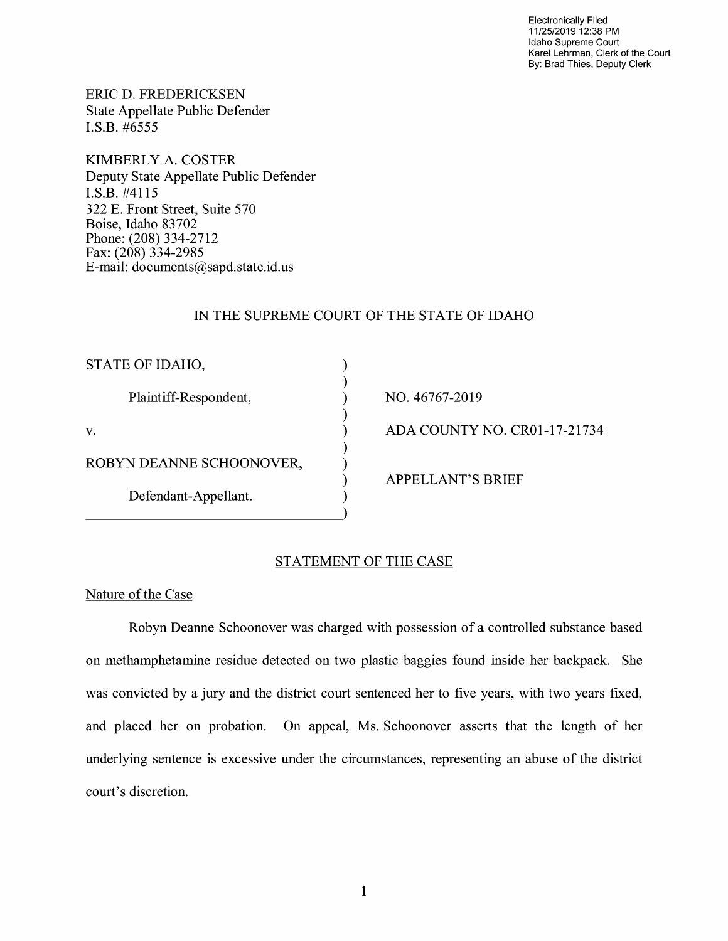Electronically Filed 11/25/2019 12:38 PM Idaho Supreme Court Karel Lehrman, Clerk of the Court By: Brad Thies, Deputy Clerk

ERIC D. FREDERICKSEN State Appellate Public Defender I.S.B. #6555

KIMBERLY A. COSTER Deputy State Appellate Public Defender I.S.B. #4115 322 E. Front Street, Suite 570 Boise, Idaho 83702 Phone: (208) 334-2712 Fax: (208) 334-2985 E-mail: documents@sapd.state.id. us

### IN THE SUPREME COURT OF THE STATE OF IDAHO

) ) ) ) ) ) ) ) )

| STATE OF IDAHO,          |
|--------------------------|
| Plaintiff-Respondent,    |
| V.                       |
| ROBYN DEANNE SCHOONOVER, |
| Defendant-Appellant.     |

NO. 46767-2019 ADA COUNTY NO. CR0l-17-21734

APPELLANT'S BRIEF

## STATEMENT OF THE CASE

#### Nature of the Case

Robyn Deanne Schoonover was charged with possession of a controlled substance based on methamphetamine residue detected on two plastic baggies found inside her backpack. She was convicted by a jury and the district court sentenced her to five years, with two years fixed, and placed her on probation. On appeal, Ms. Schoonover asserts that the length of her underlying sentence is excessive under the circumstances, representing an abuse of the district court's discretion.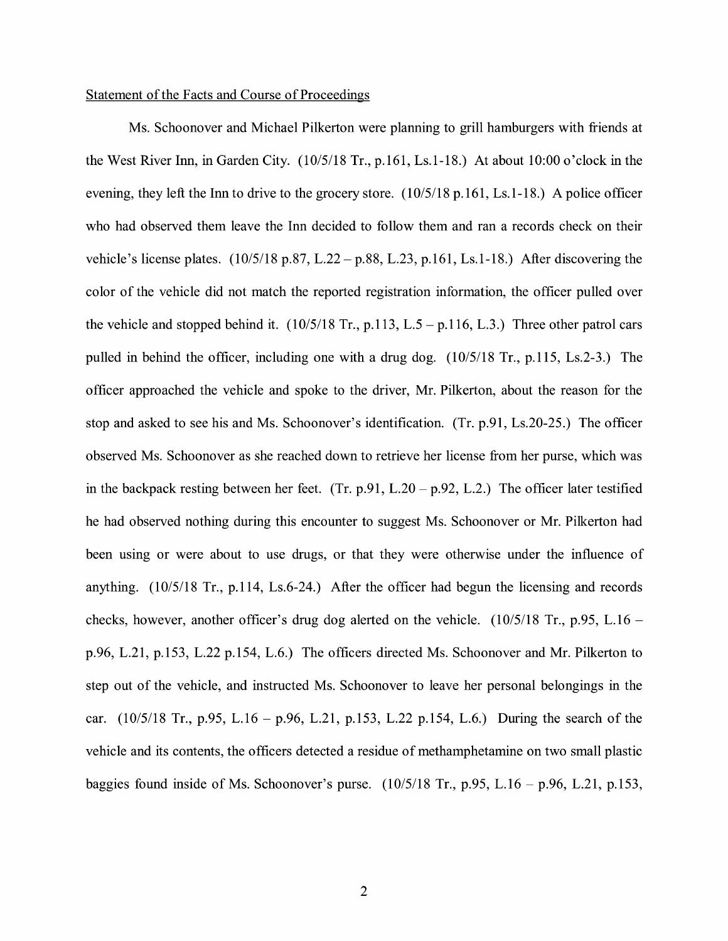#### Statement of the Facts and Course of Proceedings

Ms. Schoonover and Michael Pilkerton were planning to grill hamburgers with friends at the West River Inn, in Garden City. (10/5/18 Tr., p.161, Ls.1-18.) At about 10:00 o'clock in the evening, they left the Inn to drive to the grocery store. ( 10/5/18 p.161, Ls.1-18.) A police officer who had observed them leave the Inn decided to follow them and ran a records check on their vehicle's license plates.  $(10/5/18 \text{ p} \cdot 87, L.22 - \text{p} \cdot 88, L.23, \text{p} \cdot 161, Ls.1-18.)$  After discovering the color of the vehicle did not match the reported registration information, the officer pulled over the vehicle and stopped behind it.  $(10/5/18 \text{ Tr}., p.113, L.5 - p.116, L.3.)$  Three other patrol cars pulled in behind the officer, including one with a drug dog. (10/5/18 Tr., p.115, Ls.2-3.) The officer approached the vehicle and spoke to the driver, Mr. Pilkerton, about the reason for the stop and asked to see his and Ms. Schoonover's identification. (Tr. p.91, Ls.20-25.) The officer observed Ms. Schoonover as she reached down to retrieve her license from her purse, which was in the backpack resting between her feet. (Tr. p.91, L.20 – p.92, L.2.) The officer later testified he had observed nothing during this encounter to suggest Ms. Schoonover or Mr. Pilkerton had been using or were about to use drugs, or that they were otherwise under the influence of anything. (10/5/18 Tr., p.114, Ls.6-24.) After the officer had begun the licensing and records checks, however, another officer's drug dog alerted on the vehicle.  $(10/5/18)$  Tr., p.95, L.16 – p.96, L.21, p.153, L.22 p.154, L.6.) The officers directed Ms. Schoonover and Mr. Pilkerton to step out of the vehicle, and instructed Ms. Schoonover to leave her personal belongings in the car.  $(10/5/18$  Tr., p.95, L.16 – p.96, L.21, p.153, L.22 p.154, L.6.) During the search of the vehicle and its contents, the officers detected a residue of methamphetamine on two small plastic baggies found inside of Ms. Schoonover's purse.  $(10/5/18$  Tr., p.95, L.16 – p.96, L.21, p.153,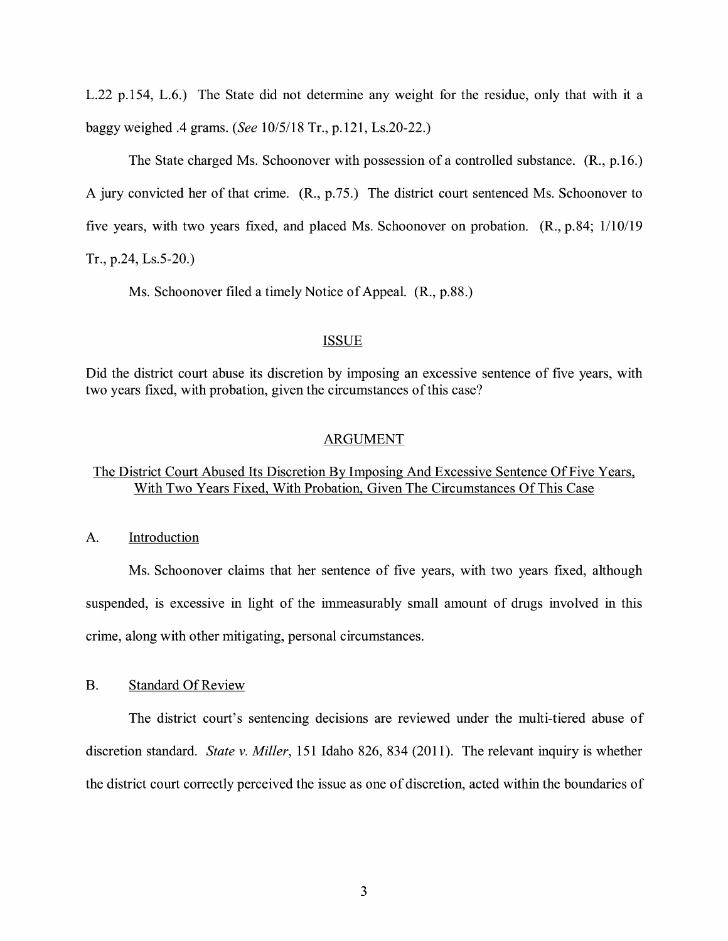L.22 p.154, L.6.) The State did not determine any weight for the residue, only that with it a baggy weighed .4 grams. *(See* 10/5/18 Tr., p.121, Ls.20-22.)

The State charged Ms. Schoonover with possession of a controlled substance. (R., p.16.) A jury convicted her of that crime. **(R.,** p.75.) The district court sentenced Ms. Schoonover to five years, with two years fixed, and placed Ms. Schoonover on probation. **(R.,** p.84; 1/10/19 Tr., p.24, Ls.5-20.)

Ms. Schoonover filed a timely Notice of Appeal. **(R.,** p.88.)

#### ISSUE

Did the district court abuse its discretion by imposing an excessive sentence of five years, with two years fixed, with probation, given the circumstances of this case?

#### ARGUMENT

## The District Court Abused Its Discretion By Imposing And Excessive Sentence Of Five Years, With Two Years Fixed, With Probation, Given The Circumstances Of This Case

A. Introduction

Ms. Schoonover claims that her sentence of five years, with two years fixed, although suspended, is excessive in light of the immeasurably small amount of drugs involved in this crime, along with other mitigating, personal circumstances.

B. Standard Of Review

The district court's sentencing decisions are reviewed under the multi-tiered abuse of discretion standard. *State v. Miller,* 151 Idaho 826, 834 (2011 ). The relevant inquiry is whether the district court correctly perceived the issue as one of discretion, acted within the boundaries of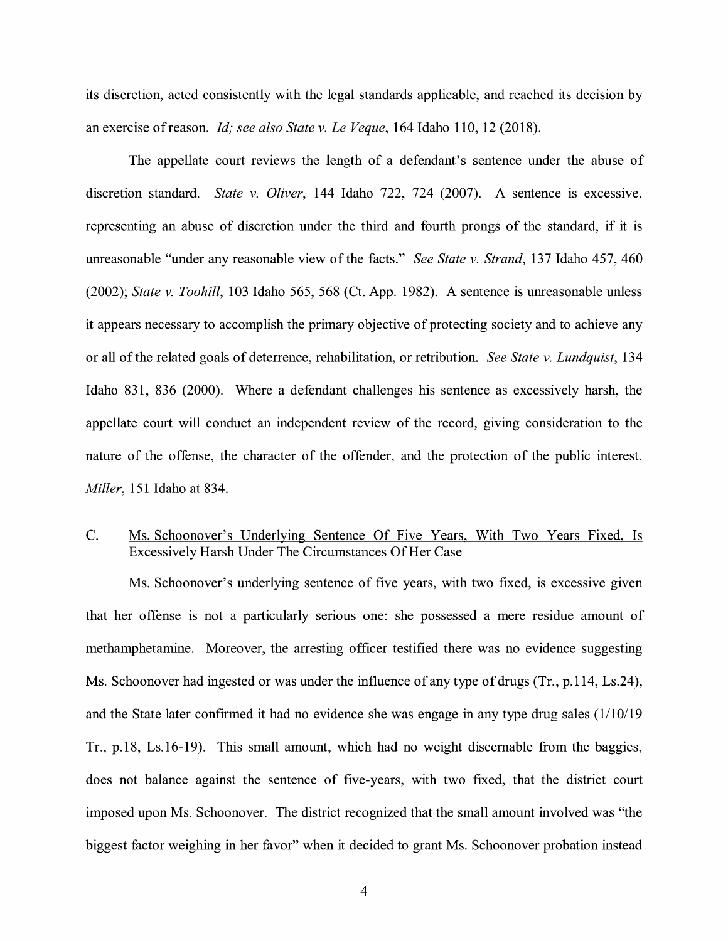its discretion, acted consistently with the legal standards applicable, and reached its decision by an exercise ofreason. *Id; see also State v. Le Veque,* 164 Idaho 110, 12 (2018).

The appellate court reviews the length of a defendant's sentence under the abuse of discretion standard. *State v. Oliver,* 144 Idaho 722, 724 (2007). A sentence is excessive, representing an abuse of discretion under the third and fourth prongs of the standard, if it is unreasonable "under any reasonable view of the facts." *See State v. Strand,* 137 Idaho 457, 460 (2002); *State v. Toohill,* 103 Idaho 565, 568 (Ct. App. 1982). A sentence is unreasonable unless it appears necessary to accomplish the primary objective of protecting society and to achieve any or all of the related goals of deterrence, rehabilitation, or retribution. *See State v. Lundquist,* 134 Idaho 831, 836 (2000). Where a defendant challenges his sentence as excessively harsh, the appellate court will conduct an independent review of the record, giving consideration to the nature of the offense, the character of the offender, and the protection of the public interest. *Miller,* 151 Idaho at 834.

## C. Ms. Schoonover's Underlying Sentence Of Five Years, With Two Years Fixed, Is Excessively Harsh Under The Circumstances Of Her Case

Ms. Schoonover's underlying sentence of five years, with two fixed, is excessive given that her offense is not a particularly serious one: she possessed a mere residue amount of methamphetamine. Moreover, the arresting officer testified there was no evidence suggesting Ms. Schoonover had ingested or was under the influence of any type of drugs (Tr., p.114, Ls.24), and the State later confirmed it had no evidence she was engage in any type drug sales (1/10/19 Tr., p.18, Ls.16-19). This small amount, which had no weight discemable from the baggies, does not balance against the sentence of five-years, with two fixed, that the district court imposed upon Ms. Schoonover. The district recognized that the small amount involved was "the biggest factor weighing in her favor" when it decided to grant Ms. Schoonover probation instead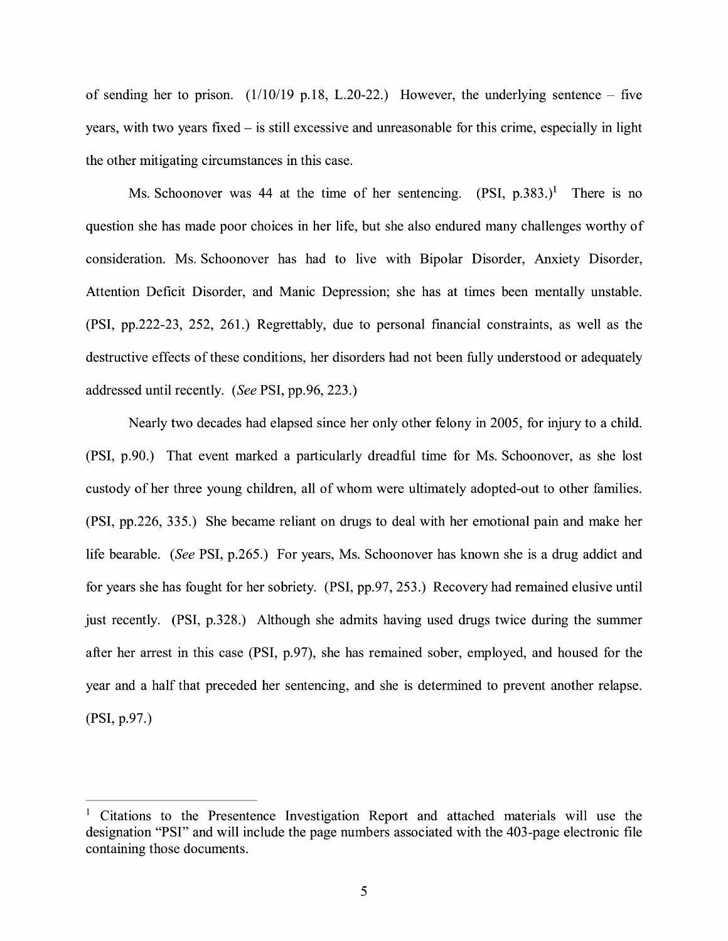of sending her to prison.  $(1/10/19 \text{ p.}18, L.20-22)$ . However, the underlying sentence – five years, with two years fixed - is still excessive and unreasonable for this crime, especially in light the other mitigating circumstances in this case.

Ms. Schoonover was 44 at the time of her sentencing.  $(PSI, p.383.)^1$  There is no question she has made poor choices in her life, but she also endured many challenges worthy of consideration. Ms. Schoonover has had to live with Bipolar Disorder, Anxiety Disorder, Attention Deficit Disorder, and Manic Depression; she has at times been mentally unstable. (PSI, pp.222-23, 252, 261.) Regrettably, due to personal fmancial constraints, as well as the destructive effects of these conditions, her disorders had not been fully understood or adequately addressed until recently. *(See* PSI, pp.96, 223.)

Nearly two decades had elapsed since her only other felony in 2005, for injury to a child. (PSI, p.90.) That event marked a particularly dreadful time for Ms. Schoonover, as she lost custody of her three young children, all of whom were ultimately adopted-out to other families. (PSI, pp.226, 335.) She became reliant on drugs to deal with her emotional pain and make her life bearable. *(See* PSI, p.265.) For years, Ms. Schoonover has known she is a drug addict and for years she has fought for her sobriety. (PSI, pp.97, 253.) Recovery had remained elusive until just recently. (PSI, p.328.) Although she admits having used drugs twice during the summer after her arrest in this case **(PSI,** p.97), she has remained sober, employed, and housed for the year and a half that preceded her sentencing, and she is determined to prevent another relapse. **(PSI,** p.97.)

<sup>1</sup> Citations to the Presentence Investigation Report and attached materials will use the designation "PSI" and will include the page numbers associated with the 403-page electronic file containing those documents.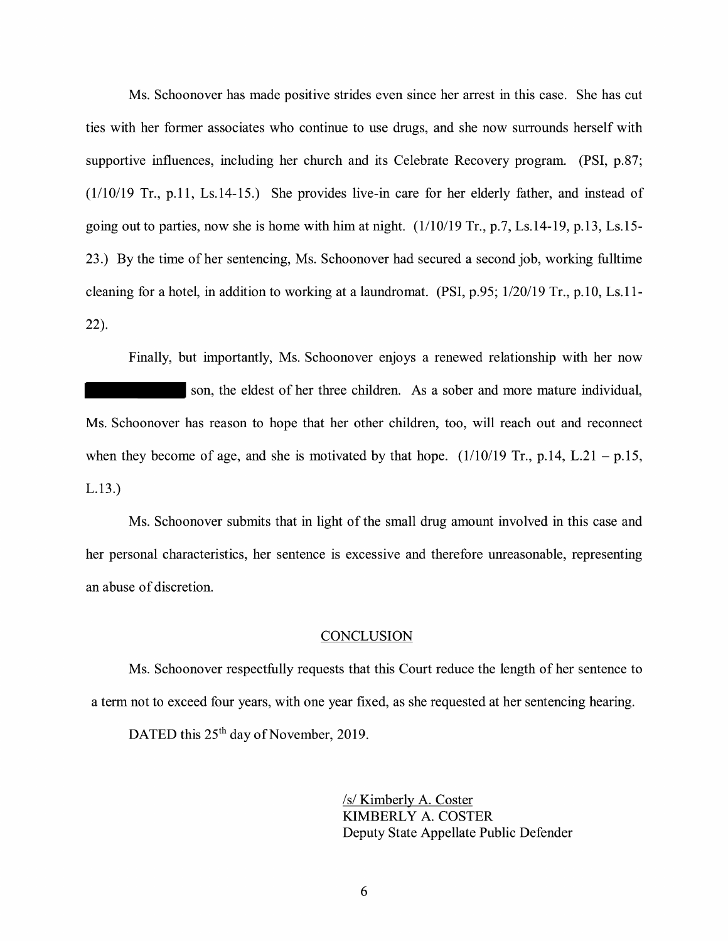Ms. Schoonover has made positive strides even since her arrest in this case. She has cut ties with her former associates who continue to use drugs, and she now surrounds herself with supportive influences, including her church and its Celebrate Recovery program. **(PSI,** p.87; (1/10/19 Tr., p.11, Ls.14-15.) She provides live-in care for her elderly father, and instead of going out to parties, now she is home with him at night. (1/10/19 Tr., p.7, Ls.14-19, p.13, Ls.15- 23.) By the time of her sentencing, Ms. Schoonover had secured a second job, working fulltime cleaning for a hotel, in addition to working at a laundromat. (PSI, p.95; 1/20/19 Tr., p.10, Ls.11- 22).

Finally, but importantly, Ms. Schoonover enjoys a renewed relationship with her now son, the eldest of her three children. As a sober and more mature individual, Ms. Schoonover has reason to hope that her other children, too, will reach out and reconnect when they become of age, and she is motivated by that hope.  $(1/10/19 \text{ Tr}., p.14, L.21 - p.15,$ L.13.)

Ms. Schoonover submits that in light of the small drug amount involved in this case and her personal characteristics, her sentence is excessive and therefore unreasonable, representing an abuse of discretion.

#### **CONCLUSION**

Ms. Schoonover respectfully requests that this Court reduce the length of her sentence to a term not to exceed four years, with one year fixed, as she requested at her sentencing hearing.

DATED this 25<sup>th</sup> day of November, 2019.

*Is/* Kimberly A. Coster KIMBERLY A. COSTER Deputy State Appellate Public Defender